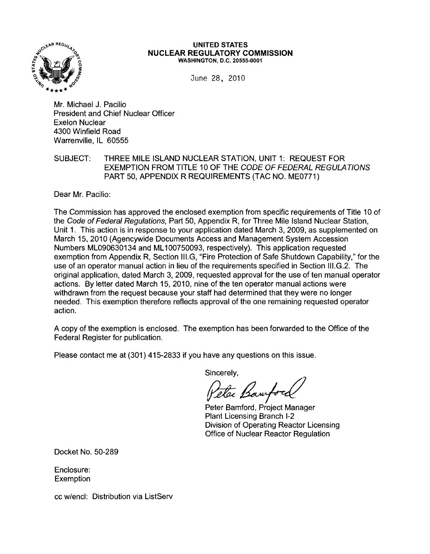

#### UNITED STATES NUCLEAR REGULATORY COMMISSION WASHINGTON, D.C. 20555-0001

June 28, 2010

Mr. Michael J. Pacilio President and Chief Nuclear Officer Exelon Nuclear 4300 Winfield Road Warrenville, IL 60555

## SUBJECT: THREE MILE ISLAND NUCLEAR STATION, UNIT 1: REQUEST FOR EXEMPTION FROM TITLE 10 OF THE CODE OF FEDERAL REGULA TlONS PART 50, APPENDIX R REQUIREMENTS (TAC NO. ME0771)

Dear Mr. Pacilio:

The Commission has approved the enclosed exemption from specific requirements of Title 10 of the Code of Federal Regulations, Part 50, Appendix R, for Three Mile Island Nuclear Station, Unit 1. This action is in response to your application dated March 3, 2009, as supplemented on March 15, 2010 (Agencywide Documents Access and Management System Accession Numbers ML090630134 and ML100750093, respectively). This application requested exemption from Appendix R, Section III.G, "Fire Protection of Safe Shutdown Capability," for the use of an operator manual action in lieu of the requirements specified in Section III.G.2. The original application, dated March 3, 2009, requested approval for the use of ten manual operator actions. By letter dated March 15, 2010, nine of the ten operator manual actions were withdrawn from the request because your staff had determined that they were no longer needed. This exemption therefore reflects approval of the one remaining requested operator action.

A copy of the exemption is enclosed. The exemption has been forwarded to the Office of the Federal Register for publication.

Please contact me at (301) 415-2833 if you have any questions on this issue.

Sincerely,<br>Peter Bamford

Peter Bamford, Project Manager Plant Licensing Branch 1-2 Division of Operating Reactor Licensing Office of Nuclear Reactor Regulation

Docket No. 50-289

Enclosure: **Exemption** 

cc w/encl: Distribution via ListServ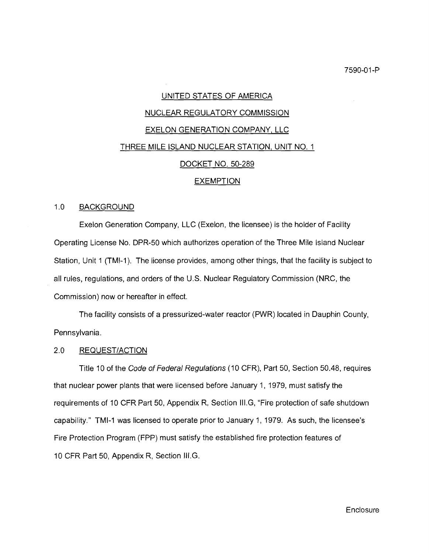# UNITED STATES OF AMERICA

### NUCLEAR REGULATORY COMMISSION

### EXELON GENERATION COMPANY, LLC

#### <u>THREE MILE ISLAND NUCLEAR STATION, UNIT NO. 1</u>

#### DOCKET NO. 50-289

## **EXEMPTION**

## 1.0 BACKGROUND

Exelon Generation Company, LLC (Exelon, the licensee) is the holder of Facility Operating License No. DPR-50 which authorizes operation of the Three Mile Island Nuclear Station, Unit 1 (TMI-1). The license provides, among other things, that the facility is subject to all rules, regulations, and orders of the U.S. Nuclear Regulatory Commission (NRC, the Commission) now or hereafter in effect.

The facility consists of a pressurized-water reactor (PWR) located in Dauphin County, Pennsylvania.

# 2.0 REQUEST/ACTION

Title 10 of the Code of Federal Regulations (10 CFR), Part 50, Section 50.48, requires that nuclear power plants that were licensed before January 1, 1979, must satisfy the requirements of 10 CFR Part 50, Appendix R, Section III.G, "Fire protection of safe shutdown capability." TMI-1 was licensed to operate prior to January 1, 1979. As such, the licensee's Fire Protection Program (FPP) must satisfy the established fire protection features of 10 CFR Part 50, Appendix R, Section III.G.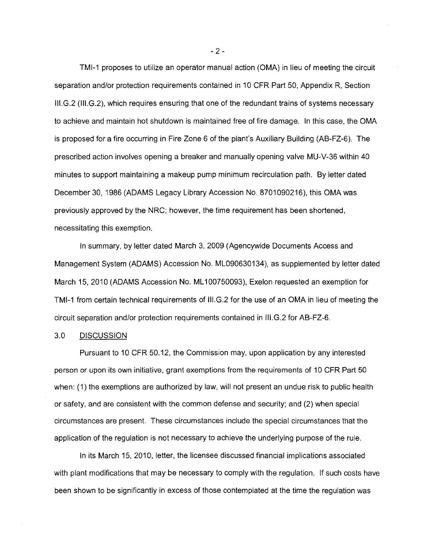TMI-1 proposes to utilize an operator manual action (OMA) in lieu of meeting the circuit separation and/or protection requirements contained in 10 CFR Part 50, Appendix R, Section III.G.2 (1II.G.2), which requires ensuring that one of the redundant trains of systems necessary to achieve and maintain hot shutdown is maintained free of fire damage. In this case, the OMA is proposed for a fire occurring in Fire Zone 6 of the plant's Auxiliary Building (AB-FZ-6). The prescribed action involves opening a breaker and manually opening valve MU-V-36 within 40 minutes to support maintaining a makeup pump minimum recirculation path. By letter dated December 30,1986 (ADAMS Legacy Library Accession No. 8701090216), this OMA was previously approved by the NRC; however, the time requirement has been shortened, necessitating this exemption.

In summary, by letter dated March 3, 2009 (Agencywide Documents Access and Management System (ADAMS) Accession No. ML090630134), as supplemented by letter dated March 15,2010 (ADAMS Accession No. ML100750093), Exelon requested an exemption for TMI-1 from certain technical requirements of III.G.2 for the use of an OMA in lieu of meeting the circuit separation and/or protection requirements contained in III.G.2 for AB-FZ-6.

## 3.0 DISCUSSION

Pursuant to 10 CFR 50.12, the Commission may, upon application by any interested person or upon its own initiative, grant exemptions from the requirements of 10 CFR Part 50 when: (1) the exemptions are authorized by law, will not present an undue risk to public health or safety, and are consistent with the common defense and security; and (2) when special circumstances are present. These circumstances include the special circumstances that the application of the regulation is not necessary to achieve the underlying purpose of the rule.

In its March 15, 2010, letter, the licensee discussed financial implications associated with plant modifications that may be necessary to comply with the regulation. If such costs have been shown to be significantly in excess of those contemplated at the time the regulation was

 $-2-$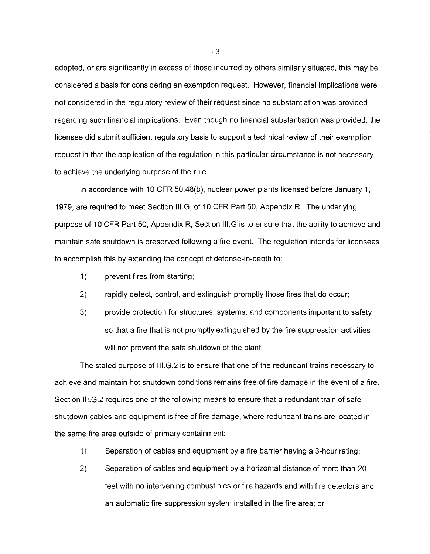adopted, or are significantly in excess of those incurred by others similarly situated, this may be considered a basis for considering an exemption request. However, financial implications were not considered in the regulatory review of their request since no substantiation was provided regarding such financial implications. Even though no financial substantiation was provided, the licensee did submit sufficient regulatory basis to support a technical review of their exemption request in that the application of the regulation in this particular circumstance is not necessary to achieve the underlying purpose of the rule.

In accordance with 10 CFR 50.48(b), nuclear power plants licensed before January 1, 1979, are required to meet Section III.G, of 10 CFR Part 50, Appendix R. The underlying purpose of 10 CFR Part 50, Appendix R, Section III. G is to ensure that the ability to achieve and maintain safe shutdown is preserved following a fire event. The regulation intends for licensees to accomplish this by extending the concept of defense-in-depth to:

- 1) prevent fires from starting;
- 2) rapidly detect, control, and extinguish promptly those fires that do occur;
- 3) provide protection for structures, systems, and components important to safety so that a fire that is not promptly extinguished by the fire suppression activities will not prevent the safe shutdown of the plant.

The stated purpose of III.G.2 is to ensure that one of the redundant trains necessary to achieve and maintain hot shutdown conditions remains free of fire damage in the event of a fire. Section III.G.2 requires one of the following means to ensure that a redundant train of safe shutdown cables and equipment is free of fire damage, where redundant trains are located in the same fire area outside of primary containment:

- 1) Separation of cables and equipment by a fire barrier having a 3-hour rating;
- 2) Separation of cables and equipment by a horizontal distance of more than 20 feet with no intervening combustibles or fire hazards and with fire detectors and an automatic fire suppression system installed in the fire area; or

 $-3-$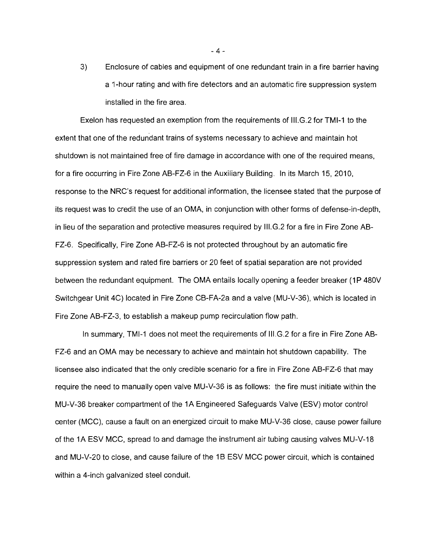3) Enclosure of cables and equipment of one redundant train in a fire barrier having a t-hour rating and with fire detectors and an automatic fire suppression system installed in the fire area.

Exelon has requested an exemption from the requirements of III.G.2 for TMI-1 to the extent that one of the redundant trains of systems necessary to achieve and maintain hot shutdown is not maintained free of fire damage in accordance with one of the required means, for a fire occurring in Fire Zone AB-FZ-6 in the Auxiliary Building. In its March 15, 2010, response to the NRC's request for additional information, the licensee stated that the purpose of its request was to credit the use of an OMA, in conjunction with other forms of defense-in-depth, in lieu of the separation and protective measures required by III.G.2 for a fire in Fire Zone AB-FZ-6. Specifically, Fire Zone AB-FZ-6 is not protected throughout by an automatic fire suppression system and rated fire barriers or 20 feet of spatial separation are not provided between the redundant equipment. The OMA entails locally opening a feeder breaker (1P 480V Switchgear Unit 4C) located in Fire Zone CB-FA-2a and a valve (MU-V-36), which is located in Fire Zone AB-FZ-3, to establish a makeup pump recirculation flow path.

In summary, TMI-1 does not meet the requirements of III.G.2 for a fire in Fire Zone AB-FZ-6 and an OMA may be necessary to achieve and maintain hot shutdown capability. The licensee also indicated that the only credible scenario for a fire in Fire Zone AB-FZ-6 that may require the need to manually open valve MU-V-36 is as follows: the fire must initiate within the MU-V-36 breaker compartment of the 1A Engineered Safeguards Valve (ESV) motor control center (MCC), cause a fault on an energized circuit to make MU-V-36 close, cause power failure of the 1A ESV MCC, spread to and damage the instrument air tubing causing valves MU-V-18 and MU-V-20 to close, and cause failure of the 1B ESV MCC power circuit, which is contained within a 4-inch galvanized steel conduit.

 $-4-$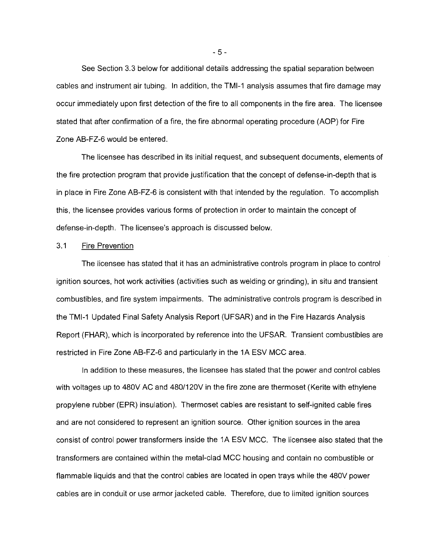See Section 3.3 below for additional details addressing the spatial separation between cables and instrument air tubing. In addition, the TMI-1 analysis assumes that fire damage may occur immediately upon first detection of the fire to all components in the fire area. The licensee stated that after confirmation of a fire, the fire abnormal operating procedure (AOP) for Fire Zone AB-FZ-6 would be entered.

The licensee has described in its initial request, and subsequent documents, elements of the fire protection program that provide justification that the concept of defense-in-depth that is in place in Fire Zone AB-FZ-6 is consistent with that intended by the regulation. To accomplish this, the licensee provides various forms of protection in order to maintain the concept of defense-in-depth, The licensee's approach is discussed below.

## 3.1 Fire Prevention

The licensee has stated that it has an administrative controls program in place to control ignition sources, hot work activities (activities such as welding or grinding), in situ and transient combustibles, and fire system impairments. The administrative controls program is described in the TMI-1 Updated Final Safety Analysis Report (UFSAR) and in the Fire Hazards Analysis Report (FHAR), which is incorporated by reference into the UFSAR. Transient combustibles are restricted in Fire Zone AB-FZ-6 and particularly in the 1A ESV MCC area.

In addition to these measures, the licensee has stated that the power and control cables with voltages up to 480V AC and 480/120V in the fire zone are thermoset (Kerite with ethylene propylene rubber (EPR) insulation). Thermoset cables are resistant to self-ignited cable fires and are not considered to represent an ignition source. Other ignition sources in the area consist of control power transformers inside the 1A ESV MCC. The licensee also stated that the transformers are contained within the metal-clad MCC housing and contain no combustible or flammable liquids and that the control cables are located in open trays while the 480V power cables are in conduit or use armor jacketed cable. Therefore, due to limited ignition sources

 $-5 -$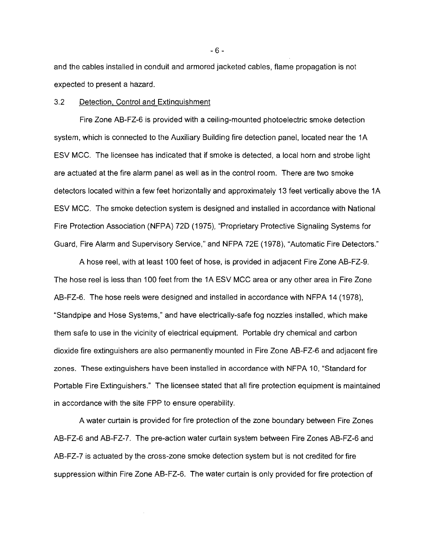and the cables installed in conduit and armored jacketed cables, flame propagation is not expected to present a hazard.

#### 3.2 Detection, Control and Extinguishment

Fire Zone AB-FZ-6 is provided with a ceiling-mounted photoelectric smoke detection system, which is connected to the Auxiliary Building fire detection panel, located near the 1A ESV MCC. The licensee has indicated that if smoke is detected, a local horn and strobe light are actuated at the fire alarm panel as well as in the control room. There are two smoke detectors located within a few feet horizontally and approximately 13 feet vertically above the 1A ESV MCC. The smoke detection system is designed and installed in accordance with National Fire Protection Association (NFPA) 720 (1975), "Proprietary Protective Signaling Systems for Guard, Fire Alarm and Supervisory Service," and NFPA 72E (1978), "Automatic Fire Detectors."

A hose reel, with at least 100 feet of hose, is provided in adjacent Fire Zone AB-FZ-9. The hose reel is less than 100 feet from the 1A ESV MCC area or any other area in Fire Zone AB-FZ-6. The hose reels were designed and installed in accordance with NFPA 14 (1978), "Standpipe and Hose Systems," and have electrically-safe fog nozzles installed, which make them safe to use in the vicinity of electrical equipment. Portable dry chemical and carbon dioxide fire extinguishers are also permanently mounted in Fire Zone AB-FZ-6 and adjacent fire zones. These extinguishers have been installed in accordance with NFPA 10, "Standard for Portable Fire Extinguishers." The licensee stated that all fire protection equipment is maintained in accordance with the site FPP to ensure operability.

A water curtain is provided for fire protection of the zone boundary between Fire Zones AB-FZ-6 and AB-FZ-7. The pre-action water curtain system between Fire Zones AB-FZ-6 and AB-FZ-7 is actuated by the cross-zone smoke detection system but is not credited for fire suppression within Fire Zone AB-FZ-6. The water curtain is only provided for fire protection of

- 6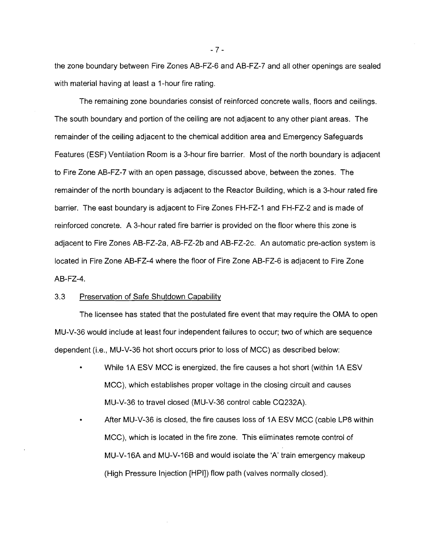the zone boundary between Fire Zones AB-FZ-6 and AB-FZ-7 and all other openings are sealed with material having at least a 1-hour fire rating.

The remaining zone boundaries consist of reinforced concrete walls, floors and ceilings. The south boundary and portion of the ceiling are not adjacent to any other plant areas. The remainder of the ceiling adjacent to the chemical addition area and Emergency Safeguards Features (ESF) Ventilation Room is a 3-hour fire barrier. Most of the north boundary is adjacent to Fire Zone AB-FZ-7 with an open passage, discussed above, between the zones. The remainder of the north boundary is adjacent to the Reactor Building, which is a 3-hour rated fire barrier. The east boundary is adjacent to Fire Zones FH-FZ-1 and FH-FZ-2 and is made of reinforced concrete. A 3-hour rated fire barrier is provided on the floor where this zone is adjacent to Fire Zones AB-FZ-2a, AB-FZ-2b and AB-FZ-2c. An automatic pre-action system is located in Fire Zone AB-FZ-4 where the floor of Fire Zone AB-FZ-6 is adjacent to Fire Zone AB-FZ-4.

#### 3.3 Preservation of Safe Shutdown Capability

The licensee has stated that the postulated fire event that may require the OMA to open MU-V-36 would include at least four independent failures to occur; two of which are sequence dependent (i.e., MU-V-36 hot short occurs prior to loss of MCC) as described below:

- While 1A ESV MCC is energized, the fire causes a hot short (within 1A ESV MCC), which establishes proper voltage in the closing circuit and causes MU-V-36 to travel closed (MU-V-36 control cable CQ232A).
- After MU-V-36 is closed, the fire causes loss of 1A ESV MCC (cable LPB within MCC), which is located in the fire zone. This eliminates remote control of MU-V-16A and MU-V-16B and would isolate the 'A' train emergency makeup (High Pressure Injection [HPI]) flow path (valves normally closed).

 $-7 -$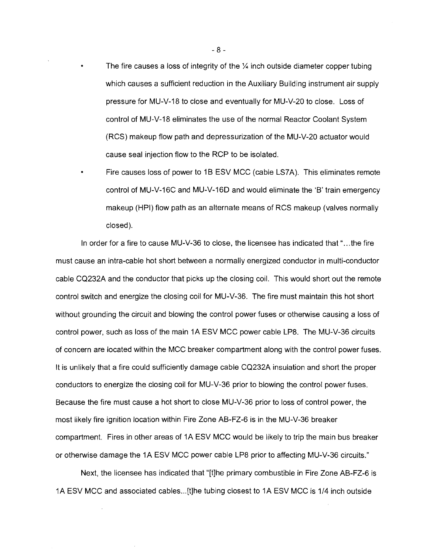- The fire causes a loss of integrity of the  $\frac{1}{4}$  inch outside diameter copper tubing which causes a sufficient reduction in the Auxiliary Building instrument air supply pressure for MU-V-18 to close and eventually for MU-V-20 to close. Loss of control of MU-V-18 eliminates the use of the normal Reactor Coolant System (RCS) makeup flow path and depressurization of the MU-V-20 actuator would cause seal injection flow to the RCP to be isolated.
- Fire causes loss of power to 1B ESV MCC (cable LS7A). This eliminates remote control of MU-V-16C and MU-V-16D and would eliminate the 'B' train emergency makeup (HPI) flow path as an alternate means of RCS makeup (valves normally closed).

In order for a fire to cause  $MU-V-36$  to close, the licensee has indicated that "...the fire must cause an intra-cable hot short between a normally energized conductor in multi-conductor cable CQ232A and the conductor that picks up the closing coil. This would short out the remote control switch and energize the closing coil for MU-V-36. The fire must maintain this hot short without grounding the circuit and blowing the control power fuses or otherwise causing a loss of control power, such as loss of the main 1A ESV MCC power cable LP8. The MU-V-36 circuits of concern are located within the MCC breaker compartment along with the control power fuses. It is unlikely that a fire could sufficiently damage cable CQ232A insulation and short the proper conductors to energize the closing coil for MU-V-36 prior to blowing the control power fuses. Because the fire must cause a hot short to close MU-V-36 prior to loss of control power, the most likely fire ignition location within Fire Zone AB-FZ-6 is in the MU-V-36 breaker compartment. Fires in other areas of 1A ESV MCC would be likely to trip the main bus breaker or otherwise damage the 1A ESV MCC power cable LP8 prior to affecting MU-V-36 circuits."

Next, the licensee has indicated that "[t]he primary combustible in Fire Zone AB-FZ-6 is 1A ESV MCC and associated cables...[t]he tubing closest to 1A ESV MCC is 1/4 inch outside

 $- 8 -$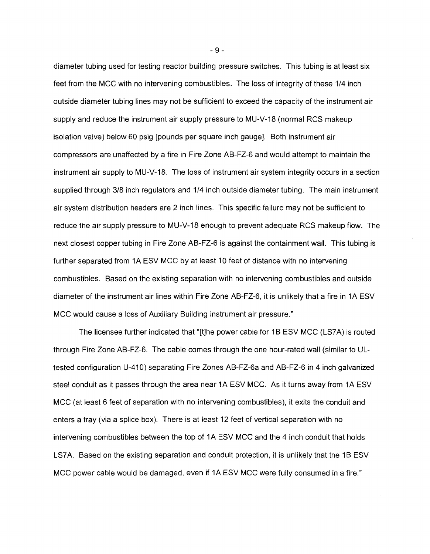diameter tubing used for testing reactor building pressure switches. This tubing is at least six feet from the MCC with no intervening combustibles. The loss of integrity of these 1/4 inch outside diameter tubing lines may not be sufficient to exceed the capacity of the instrument air supply and reduce the instrument air supply pressure to MU-V-18 (normal RCS makeup isolation valve) below 60 psig [pounds per square inch gauge]. Both instrument air compressors are unaffected by a fire in Fire Zone AB-FZ-6 and would attempt to maintain the instrument air supply to MU-V-18. The loss of instrument air system integrity occurs in a section supplied through 3/8 inch regulators and 1/4 inch outside diameter tubing. The main instrument air system distribution headers are 2 inch lines. This specific failure may not be sufficient to reduce the air supply pressure to MU-V-18 enough to prevent adequate RCS makeup flow. The next closest copper tubing in Fire Zone AB-FZ-6 is against the containment wall. This tubing is further separated from 1A ESV MCC by at least 10 feet of distance with no intervening combustibles. Based on the existing separation with no intervening combustibles and outside diameter of the instrument air lines within Fire Zone AB-FZ-6, it is unlikely that a fire in 1A ESV MCC would cause a loss of Auxiliary Building instrument air pressure."

The licensee further indicated that "[tjhe power cable for 1B ESV MCC (LS7A) is routed through Fire Zone AB-FZ-6. The cable comes through the one hour-rated wall (similar to ULtested configuration U-410) separating Fire Zones AB-FZ-6a and AB-FZ-6 in 4 inch galvanized steel conduit as it passes through the area near 1A ESV MCC. As it turns away from 1A ESV MCC (at least 6 feet of separation with no intervening combustibles), it exits the conduit and enters a tray (via a splice box). There is at least 12 feet of vertical separation with no intervening combustibles between the top of 1A ESV MCC and the 4 inch conduit that holds LS7A. Based on the existing separation and conduit protection, it is unlikely that the 1B ESV MCC power cable would be damaged, even if 1A ESV MCC were fully consumed in a fire."

 $-9-$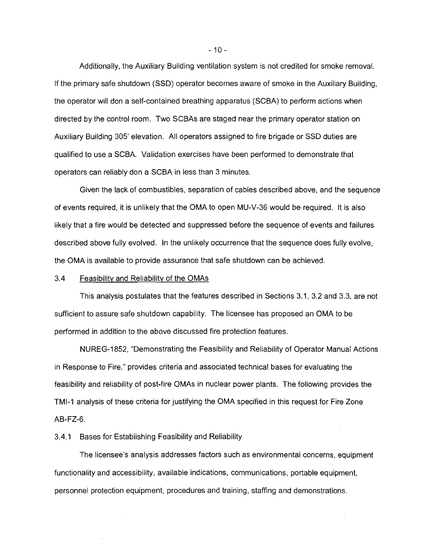Additionally, the Auxiliary Building ventilation system is not credited for smoke removal. If the primary safe shutdown (SSD) operator becomes aware of smoke in the Auxiliary Building, the operator will don a self-contained breathing apparatus (SCBA) to perform actions when directed by the control room. Two SCBAs are staged near the primary operator station on Auxiliary Building 305' elevation. All operators assigned to fire brigade or SSD duties are qualified to use a SCBA. Validation exercises have been performed to demonstrate that operators can reliably don a SCBA in less than 3 minutes.

Given the lack of combustibles, separation of cables described above, and the sequence of events required, it is unlikely that the OMA to open MU-V-36 would be required. It is also likely that a fire would be detected and suppressed before the sequence of events and failures described above fully evolved. In the unlikely occurrence that the sequence does fully evolve, the OMA is available to provide assurance that safe shutdown can be achieved.

#### 3.4 Feasibility and Reliability of the OMAs

This analysis postulates that the features described in Sections 3.1, 3.2 and 3.3, are not sufficient to assure safe shutdown capability. The licensee has proposed an OMA to be performed in addition to the above discussed fire protection features.

NUREG-1852, "Demonstrating the Feasibility and Reliability of Operator Manual Actions in Response to Fire," provides criteria and associated technical bases for evaluating the feasibility and reliability of post-fire OMAs in nuclear power plants. The following provides the TMI-1 analysis of these criteria for justifying the OMA specified in this request for Fire Zone AB-FZ-6.

### 3.4.1 Bases for Establishing Feasibility and Reliability

The licensee's analysis addresses factors such as environmental concerns, equipment functionality and accessibility, available indications, communications, portable equipment, personnel protection equipment, procedures and training, staffing and demonstrations.

 $-10 -$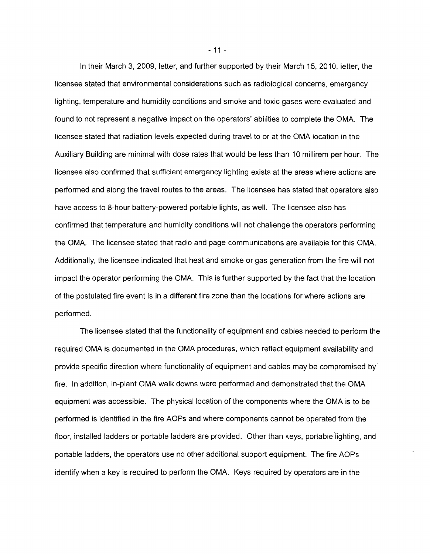In their March 3, 2009, letter, and further supported by their March 15, 2010, letter, the licensee stated that environmental considerations such as radiological concerns, emergency lighting, temperature and humidity conditions and smoke and toxic gases were evaluated and found to not represent a negative impact on the operators' abilities to complete the OMA. The licensee stated that radiation levels expected during travel to or at the OMA location in the Auxiliary Building are minimal with dose rates that would be less than 10 millirem per hour. The licensee also confirmed that sufficient emergency lighting exists at the areas where actions are performed and along the travel routes to the areas. The licensee has stated that operators also have access to 8-hour battery-powered portable lights, as well. The licensee also has confirmed that temperature and humidity conditions will not challenge the operators performing the OMA. The licensee stated that radio and page communications are available for this OMA. Additionally, the licensee indicated that heat and smoke or gas generation from the fire will not impact the operator performing the OMA. This is further supported by the fact that the location of the postulated fire event is in a different fire zone than the locations for where actions are performed.

The licensee stated that the functionality of equipment and cables needed to perform the required OMA is documented in the OMA procedures, which reflect equipment availability and provide specific direction where functionality of equipment and cables may be compromised by fire. In addition, in-plant OMA walk downs were performed and demonstrated that the OMA equipment was accessible. The physical location of the components where the OMA is to be performed is identified in the fire AOPs and where components cannot be operated from the floor, installed ladders or portable ladders are provided. Other than keys, portable lighting, and portable ladders, the operators use no other additional support equipment. The fire AOPs identify when a key is required to perform the OMA. Keys required by operators are in the

 $-11-$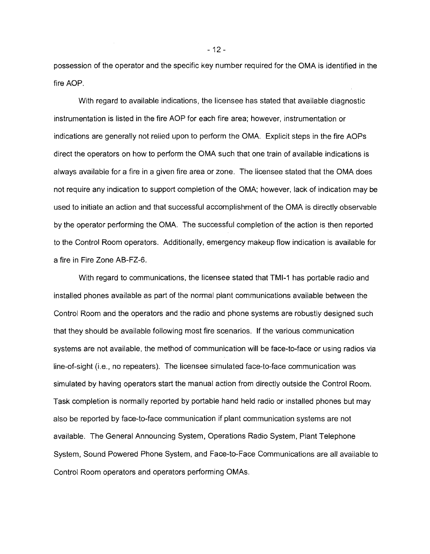possession of the operator and the specific key number required for the OMA is identified in the fire AOP.

With regard to available indications, the licensee has stated that available diagnostic instrumentation is listed in the fire AOP for each fire area; however, instrumentation or indications are generally not relied upon to perform the OMA. Explicit steps in the fire AOPs direct the operators on how to perform the OMA such that one train of available indications is always available for a fire in a given fire area or zone. The licensee stated that the OMA does not require any indication to support completion of the OMA; however, lack of indication may be used to initiate an action and that successful accomplishment of the OMA is directly observable by the operator performing the OMA. The successful completion of the action is then reported to the Control Room operators. Additionally, emergency makeup flow indication is available for a fire in Fire Zone AB-FZ-6.

With regard to communications, the licensee stated that TMI-1 has portable radio and installed phones available as part of the normal plant communications available between the Control Room and the operators and the radio and phone systems are robustly designed such that they should be available following most fire scenarios. If the various communication systems are not available, the method of communication will be face-to-face or using radios via line-of-sight (i.e., no repeaters). The licensee simulated face-to-face communication was simulated by having operators start the manual action from directly outside the Control Room. Task completion is normally reported by portable hand held radio or installed phones but may also be reported by face-to-face communication if plant communication systems are not available. The General Announcing System, Operations Radio System, Plant Telephone System, Sound Powered Phone System, and Face-to-Face Communications are all available to Control Room operators and operators performing OMAs.

 $-12-$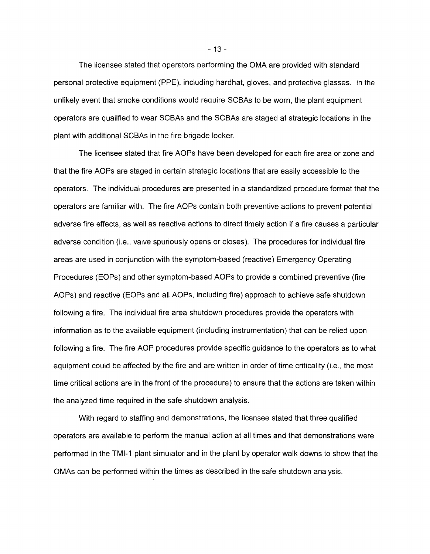The licensee stated that operators performing the OMA are provided with standard personal protective equipment (PPE), including hardhat, gloves, and protective glasses. In the unlikely event that smoke conditions would require SCBAs to be worn, the plant equipment operators are qualified to wear SCBAs and the SCBAs are staged at strategic locations in the plant with additional SCBAs in the fire brigade locker.

The licensee stated that fire AOPs have been developed for each fire area or zone and that the fire AOPs are staged in certain strategic locations that are easily accessible to the operators. The individual procedures are presented in a standardized procedure format that the operators are familiar with. The fire AOPs contain both preventive actions to prevent potential adverse fire effects, as well as reactive actions to direct timely action if a fire causes a particular adverse condition (i.e., valve spuriously opens or closes). The procedures for individual fire areas are used in conjunction with the symptom-based (reactive) Emergency Operating Procedures (EOPs) and other symptom-based AOPs to provide a combined preventive (fire AOPs) and reactive (EOPs and all AOPs, including fire) approach to achieve safe shutdown following a fire. The individual fire area shutdown procedures provide the operators with information as to the available equipment (including instrumentation) that can be relied upon following a fire. The fire AOP procedures provide specific guidance to the operators as to what equipment could be affected by the fire and are written in order of time criticality (i.e., the most time critical actions are in the front of the procedure) to ensure that the actions are taken within the analyzed time required in the safe shutdown analysis.

With regard to staffing and demonstrations, the licensee stated that three qualified operators are available to perform the manual action at all times and that demonstrations were performed in the TMI-1 plant simulator and in the plant by operator walk downs to show that the OMAs can be performed within the times as described in the safe shutdown analysis.

 $-13-$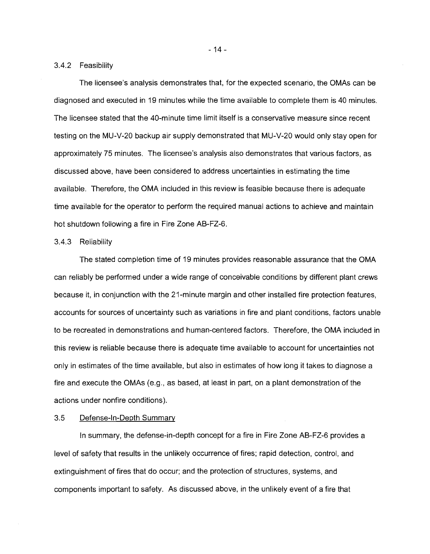#### 3.4.2 Feasibility

The licensee's analysis demonstrates that, for the expected scenario, the OMAs can be diagnosed and executed in 19 minutes while the time available to complete them is 40 minutes. The licensee stated that the 40-minute time limit itself is a conservative measure since recent testing on the MU-V-20 backup air supply demonstrated that MU-V-20 would only stay open for approximately 75 minutes. The licensee's analysis also demonstrates that various factors, as discussed above, have been considered to address uncertainties in estimating the time available. Therefore, the OMA included in this review is feasible because there is adequate time available for the operator to perform the required manual actions to achieve and maintain hot shutdown following a fire in Fire Zone AB-FZ-6.

### 3.4.3 Reliability

The stated completion time of 19 minutes provides reasonable assurance that the OMA can reliably be performed under a wide range of conceivable conditions by different plant crews because it, in conjunction with the 21-minute margin and other installed fire protection features, accounts for sources of uncertainty such as variations in fire and plant conditions, factors unable to be recreated in demonstrations and human-centered factors. Therefore, the OMA included in this review is reliable because there is adequate time available to account for uncertainties not only in estimates of the time available, but also in estimates of how long it takes to diagnose a fire and execute the OMAs (e.g., as based, at least in part, on a plant demonstration of the actions under nonfire conditions).

### 3.5 Defense-In-Depth Summary

In summary, the defense-in-depth concept for a fire in Fire Zone AB-FZ-6 provides a level of safety that results in the unlikely occurrence of fires; rapid detection, control, and extinguishment of fires that do occur; and the protection of structures, systems, and components important to safety. As discussed above, in the unlikely event of a fire that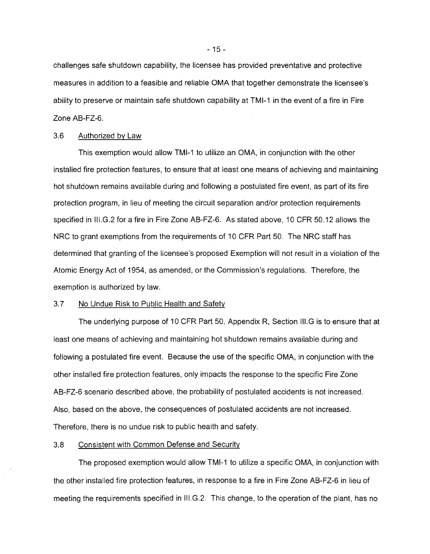challenges safe shutdown capability, the licensee has provided preventative and protective measures in addition to a feasible and reliable OMA that together demonstrate the licensee's ability to preserve or maintain safe shutdown capability at TMI-1 in the event of a fire in Fire Zone AB-FZ-6.

### 3.6 Authorized by Law

This exemption would allow TMI-1 to utilize an OMA, in conjunction with the other installed fire protection features, to ensure that at least one means of achieving and maintaining hot shutdown remains available during and following a postulated fire event, as part of its fire protection program, in lieu of meeting the circuit separation and/or protection requirements specified in III.G.2 for a fire in Fire Zone AB-FZ-6. As stated above, 10 CFR 50.12 allows the NRC to grant exemptions from the requirements of 10 CFR Part 50. The NRC staff has determined that granting of the licensee's proposed Exemption will not result in a violation of the Atomic Energy Act of 1954, as amended, or the Commission's regulations. Therefore, the exemption is authorized by law.

#### 3.7 No Undue Risk to Public Health and Safety

The underlying purpose of 10 CFR Part 50, Appendix R, Section III.G is to ensure that at least one means of achieving and maintaining hot shutdown remains available during and following a postulated fire event. Because the use of the specific OMA, in conjunction with the other installed fire protection features, only impacts the response to the specific Fire Zone AB-FZ-6 scenario described above, the probability of postulated accidents is not increased. Also, based on the above, the consequences of postulated accidents are not increased. Therefore, there is no undue risk to public health and safety.

#### 3.8 Consistent with Common Defense and Security

The proposed exemption would allow TMI-1 to utilize a specific OMA, in conjunction with the other installed fire protection features, in response to a fire in Fire Zone AB-FZ-6 in lieu of meeting the requirements specified in III.G.2. This change, to the operation of the plant, has no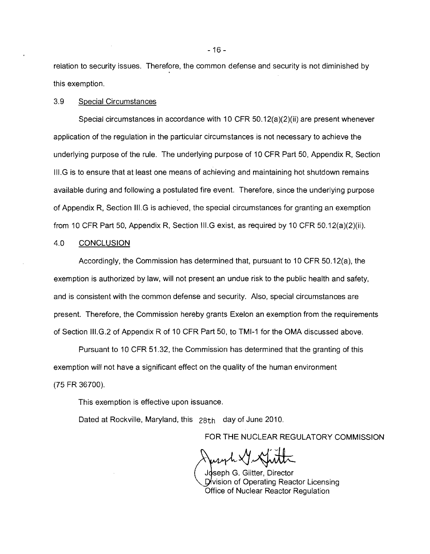relation to security issues. Therefore, the common defense and security is not diminished by this exemption.

## 3.9 Special Circumstances

Special circumstances in accordance with 10 CFR 50.12(a)(2)(ii) are present whenever application of the regulation in the particular circumstances is not necessary to achieve the underlying purpose of the rule. The underlying purpose of 10 CFR Part 50, Appendix R, Section III.G is to ensure that at least one means of achieving and maintaining hot shutdown remains available during and following a postulated fire event. Therefore, since the underlying purpose of Appendix R, Section III.G is achieved, the special circumstances for granting an exemption from 10 CFR Part 50, Appendix R, Section III.G exist, as required by 10 CFR 50.12(a)(2)(ii).

#### 4.0 CONCLUSION

Accordingly, the Commission has determined that, pursuant to 10 CFR 50.12(a), the exemption is authorized by law, will not present an undue risk to the public health and safety, and is consistent with the common defense and security. Also, special circumstances are present. Therefore, the Commission hereby grants Exelon an exemption from the requirements of Section III.G.2 of Appendix R of 10 CFR Part 50, to TMI-1 for the OMA discussed above.

Pursuant to 10 CFR 51.32, the Commission has determined that the granting of this exemption will not have a significant effect on the quality of the human environment (75 FR 36700).

This exemption is effective upon issuance.

Dated at Rockville, Maryland, this 28th day of June 2010.

FOR THE NUCLEAR REGULATORY COMMISSION

y Gutt

Joseph G. Giitter, Director Division of Operating Reactor Licensing Office of Nuclear Reactor Regulation